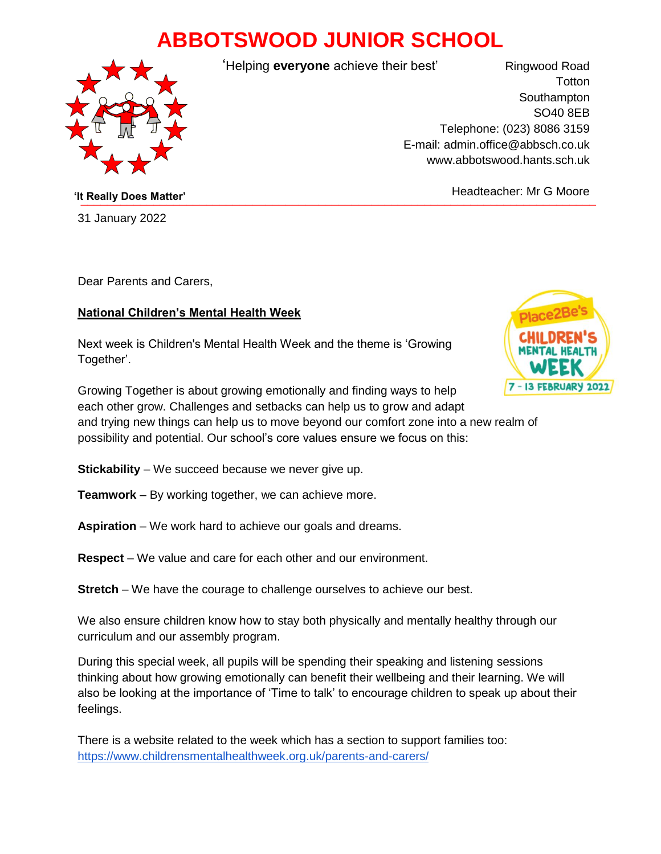## **ABBOTSWOOD JUNIOR SCHOOL**



'Helping **everyone** achieve their best'

Ringwood Road **Totton Southampton** SO40 8EB Telephone: (023) 8086 3159 E-mail: admin.office@abbsch.co.uk www.abbotswood.hants.sch.uk

**The Community Does Matter' Community Community Community Community Community Community Community Community Community Community Community Community Community Community Community Community Community Community Community Co** 

31 January 2022 \_\_\_\_\_\_\_\_\_\_\_\_\_\_\_\_\_

Dear Parents and Carers,

## **National Children's Mental Health Week**

Next week is Children's Mental Health Week and the theme is 'Growing Together'.



Growing Together is about growing emotionally and finding ways to help each other grow. Challenges and setbacks can help us to grow and adapt and trying new things can help us to move beyond our comfort zone into a new realm of possibility and potential. Our school's core values ensure we focus on this:

**Stickability** – We succeed because we never give up.

- **Teamwork** By working together, we can achieve more.
- **Aspiration**  We work hard to achieve our goals and dreams.
- **Respect** We value and care for each other and our environment.
- **Stretch** We have the courage to challenge ourselves to achieve our best.

We also ensure children know how to stay both physically and mentally healthy through our curriculum and our assembly program.

During this special week, all pupils will be spending their speaking and listening sessions thinking about how growing emotionally can benefit their wellbeing and their learning. We will also be looking at the importance of 'Time to talk' to encourage children to speak up about their feelings.

There is a website related to the week which has a section to support families too: <https://www.childrensmentalhealthweek.org.uk/parents-and-carers/>